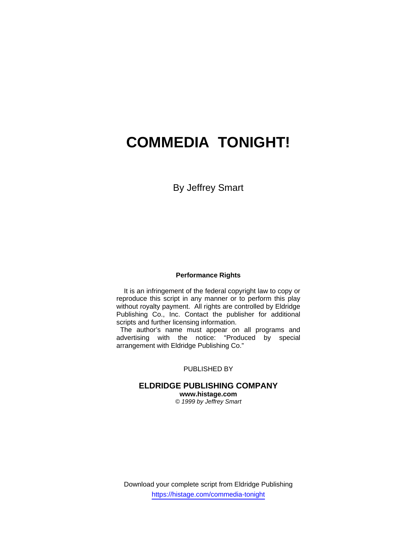# **COMMEDIA TONIGHT!**

# By Jeffrey Smart

### **Performance Rights**

 It is an infringement of the federal copyright law to copy or reproduce this script in any manner or to perform this play without royalty payment. All rights are controlled by Eldridge Publishing Co., Inc. Contact the publisher for additional scripts and further licensing information.

 The author's name must appear on all programs and advertising with the notice: "Produced by special arrangement with Eldridge Publishing Co."

## PUBLISHED BY

# **ELDRIDGE PUBLISHING COMPANY**

**www.histage.com**  *© 1999 by Jeffrey Smart*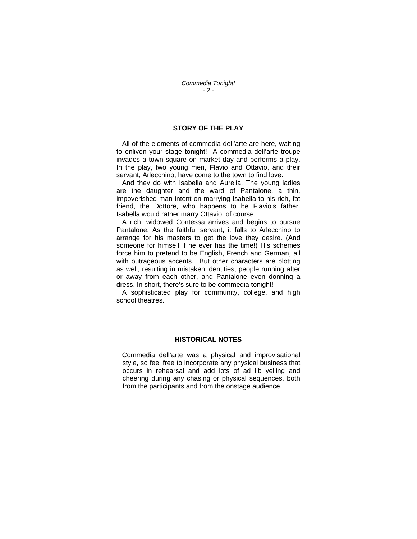## **STORY OF THE PLAY**

 All of the elements of commedia dell'arte are here, waiting to enliven your stage tonight! A commedia dell'arte troupe invades a town square on market day and performs a play. In the play, two young men, Flavio and Ottavio, and their servant, Arlecchino, have come to the town to find love.

 And they do with Isabella and Aurelia. The young ladies are the daughter and the ward of Pantalone, a thin, impoverished man intent on marrying Isabella to his rich, fat friend, the Dottore, who happens to be Flavio's father. Isabella would rather marry Ottavio, of course.

 A rich, widowed Contessa arrives and begins to pursue Pantalone. As the faithful servant, it falls to Arlecchino to arrange for his masters to get the love they desire. (And someone for himself if he ever has the time!) His schemes force him to pretend to be English, French and German, all with outrageous accents. But other characters are plotting as well, resulting in mistaken identities, people running after or away from each other, and Pantalone even donning a dress. In short, there's sure to be commedia tonight!

 A sophisticated play for community, college, and high school theatres.

#### **HISTORICAL NOTES**

 Commedia dell'arte was a physical and improvisational style, so feel free to incorporate any physical business that occurs in rehearsal and add lots of ad lib yelling and cheering during any chasing or physical sequences, both from the participants and from the onstage audience.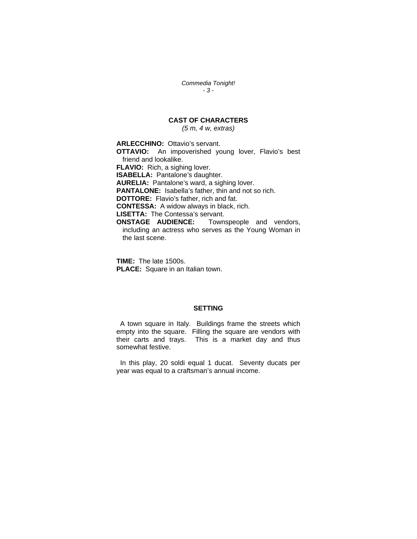*Commedia Tonight! - 3 -* 

# **CAST OF CHARACTERS**

*(5 m, 4 w, extras)* 

**ARLECCHINO:** Ottavio's servant.

**OTTAVIO:** An impoverished young lover, Flavio's best friend and lookalike. **FLAVIO:** Rich, a sighing lover. **ISABELLA:** Pantalone's daughter.

**AURELIA:** Pantalone's ward, a sighing lover.

**PANTALONE:** Isabella's father, thin and not so rich.

**DOTTORE:** Flavio's father, rich and fat.

**CONTESSA:** A widow always in black, rich.

**LISETTA:** The Contessa's servant.

**ONSTAGE AUDIENCE:** Townspeople and vendors, including an actress who serves as the Young Woman in the last scene.

**TIME:** The late 1500s. **PLACE:** Square in an Italian town.

## **SETTING**

 A town square in Italy. Buildings frame the streets which empty into the square. Filling the square are vendors with their carts and trays. This is a market day and thus somewhat festive.

 In this play, 20 soldi equal 1 ducat. Seventy ducats per year was equal to a craftsman's annual income.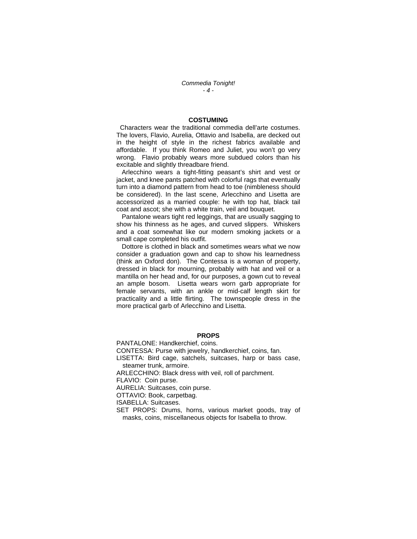*Commedia Tonight! - 4 -* 

#### **COSTUMING**

 Characters wear the traditional commedia dell'arte costumes. The lovers, Flavio, Aurelia, Ottavio and Isabella, are decked out in the height of style in the richest fabrics available and affordable. If you think Romeo and Juliet, you won't go very wrong. Flavio probably wears more subdued colors than his excitable and slightly threadbare friend.

 Arlecchino wears a tight-fitting peasant's shirt and vest or jacket, and knee pants patched with colorful rags that eventually turn into a diamond pattern from head to toe (nimbleness should be considered). In the last scene, Arlecchino and Lisetta are accessorized as a married couple: he with top hat, black tail coat and ascot; she with a white train, veil and bouquet.

 Pantalone wears tight red leggings, that are usually sagging to show his thinness as he ages, and curved slippers. Whiskers and a coat somewhat like our modern smoking jackets or a small cape completed his outfit.

 Dottore is clothed in black and sometimes wears what we now consider a graduation gown and cap to show his learnedness (think an Oxford don). The Contessa is a woman of property, dressed in black for mourning, probably with hat and veil or a mantilla on her head and, for our purposes, a gown cut to reveal an ample bosom. Lisetta wears worn garb appropriate for female servants, with an ankle or mid-calf length skirt for practicality and a little flirting. The townspeople dress in the more practical garb of Arlecchino and Lisetta.

#### **PROPS**

PANTALONE: Handkerchief, coins.

CONTESSA: Purse with jewelry, handkerchief, coins, fan.

LISETTA: Bird cage, satchels, suitcases, harp or bass case, steamer trunk, armoire.

ARLECCHINO: Black dress with veil, roll of parchment.

FLAVIO: Coin purse.

AURELIA: Suitcases, coin purse.

OTTAVIO: Book, carpetbag.

ISABELLA: Suitcases.

SET PROPS: Drums, horns, various market goods, tray of masks, coins, miscellaneous objects for Isabella to throw.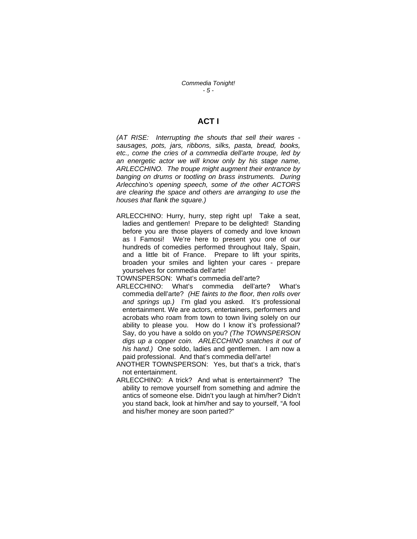*Commedia Tonight! - 5 -* 

# **ACT I**

*(AT RISE: Interrupting the shouts that sell their wares sausages, pots, jars, ribbons, silks, pasta, bread, books, etc., come the cries of a commedia dell'arte troupe, led by an energetic actor we will know only by his stage name, ARLECCHINO. The troupe might augment their entrance by banging on drums or tootling on brass instruments. During Arlecchino's opening speech, some of the other ACTORS are clearing the space and others are arranging to use the houses that flank the square.)* 

ARLECCHINO: Hurry, hurry, step right up! Take a seat, ladies and gentlemen! Prepare to be delighted! Standing before you are those players of comedy and love known as I Famosi! We're here to present you one of our hundreds of comedies performed throughout Italy, Spain, and a little bit of France. Prepare to lift your spirits, broaden your smiles and lighten your cares - prepare yourselves for commedia dell'arte!

TOWNSPERSON: What's commedia dell'arte?

- ARLECCHINO: What's commedia dell'arte? What's commedia dell'arte? *(HE faints to the floor, then rolls over and springs up.)* I'm glad you asked. It's professional entertainment. We are actors, entertainers, performers and acrobats who roam from town to town living solely on our ability to please you. How do I know it's professional? Say, do you have a soldo on you? *(The TOWNSPERSON digs up a copper coin. ARLECCHINO snatches it out of his hand.)* One soldo, ladies and gentlemen. I am now a paid professional. And that's commedia dell'arte!
- ANOTHER TOWNSPERSON: Yes, but that's a trick, that's not entertainment.
- ARLECCHINO: A trick? And what is entertainment? The ability to remove yourself from something and admire the antics of someone else. Didn't you laugh at him/her? Didn't you stand back, look at him/her and say to yourself, "A fool and his/her money are soon parted?"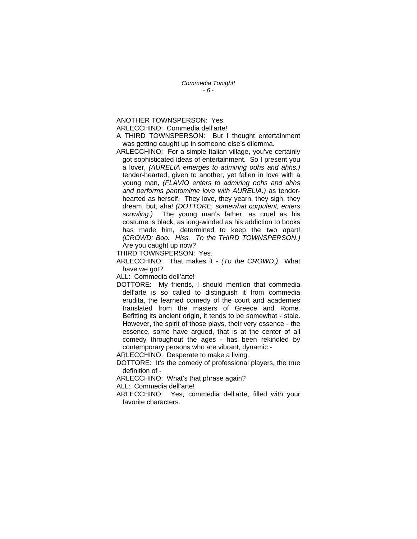*Commedia Tonight! - 6 -* 

ANOTHER TOWNSPERSON: Yes.

ARLECCHINO: Commedia dell'arte!

A THIRD TOWNSPERSON: But I thought entertainment was getting caught up in someone else's dilemma.

ARLECCHINO: For a simple Italian village, you've certainly got sophisticated ideas of entertainment. So I present you a lover, *(AURELIA emerges to admiring oohs and ahhs.)* tender-hearted, given to another, yet fallen in love with a young man, *(FLAVIO enters to admiring oohs and ahhs and performs pantomime love with AURELIA.)* as tenderhearted as herself. They love, they yearn, they sigh, they dream, but, aha! *(DOTTORE, somewhat corpulent, enters scowling.)* The young man's father, as cruel as his costume is black, as long-winded as his addiction to books has made him, determined to keep the two apart! *(CROWD: Boo. Hiss. To the THIRD TOWNSPERSON.)* Are you caught up now?

THIRD TOWNSPERSON: Yes.

ARLECCHINO: That makes it - *(To the CROWD.)* What have we got?

ALL: Commedia dell'arte!

DOTTORE: My friends, I should mention that commedia dell'arte is so called to distinguish it from commedia erudita, the learned comedy of the court and academies translated from the masters of Greece and Rome. Befitting its ancient origin, it tends to be somewhat - stale. However, the spirit of those plays, their very essence - the essence, some have argued, that is at the center of all comedy throughout the ages - has been rekindled by contemporary persons who are vibrant, dynamic -

ARLECCHINO: Desperate to make a living.

DOTTORE: It's the comedy of professional players, the true definition of -

ARLECCHINO: What's that phrase again?

ALL: Commedia dell'arte!

ARLECCHINO: Yes, commedia dell'arte, filled with your favorite characters.